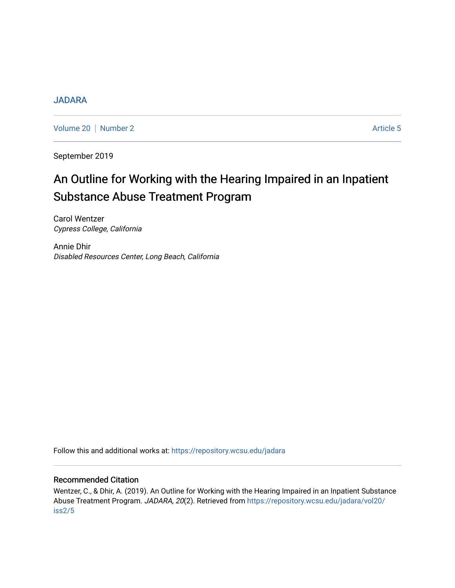# [JADARA](https://repository.wcsu.edu/jadara)

[Volume 20](https://repository.wcsu.edu/jadara/vol20) | [Number 2](https://repository.wcsu.edu/jadara/vol20/iss2) Article 5

September 2019

# An Outline for Working with the Hearing Impaired in an Inpatient Substance Abuse Treatment Program

Carol Wentzer Cypress College, California

Annie Dhir Disabled Resources Center, Long Beach, California

Follow this and additional works at: [https://repository.wcsu.edu/jadara](https://repository.wcsu.edu/jadara?utm_source=repository.wcsu.edu%2Fjadara%2Fvol20%2Fiss2%2F5&utm_medium=PDF&utm_campaign=PDFCoverPages)

# Recommended Citation

Wentzer, C., & Dhir, A. (2019). An Outline for Working with the Hearing Impaired in an Inpatient Substance Abuse Treatment Program. JADARA, 20(2). Retrieved from [https://repository.wcsu.edu/jadara/vol20/](https://repository.wcsu.edu/jadara/vol20/iss2/5?utm_source=repository.wcsu.edu%2Fjadara%2Fvol20%2Fiss2%2F5&utm_medium=PDF&utm_campaign=PDFCoverPages) [iss2/5](https://repository.wcsu.edu/jadara/vol20/iss2/5?utm_source=repository.wcsu.edu%2Fjadara%2Fvol20%2Fiss2%2F5&utm_medium=PDF&utm_campaign=PDFCoverPages)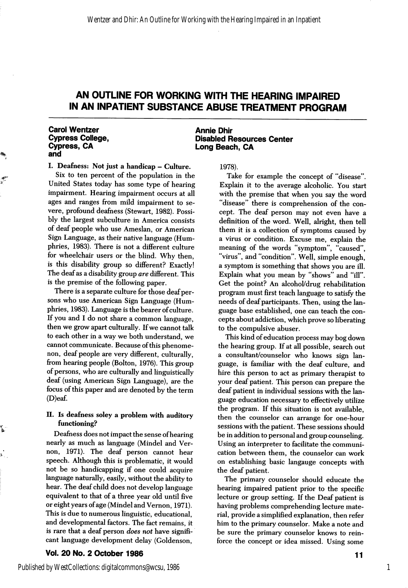#### Carol Wentzer Cypress College, Cypress, CA and

I. Deafness: Not just a handicap - Culture.

Six to ten percent of the population in the United States today has some type of hearing impairment. Hearing impairment occurs at all ages and ranges from mild impairment to se vere, profound deafness (Stewart, 1982). Possibly the largest subculture in America consists of deaf people who use Ameslan, or American Sign Language, as their native language (Hum phries, 1983). There is not a different culture for wheelchair users or the blind. Why then, is this disability group so different? Exactly! The deaf as a disability group are different. This is the premise of the following paper.

There is a separate culture for those deaf per sons who use American Sign Language (Hum phries, 1983). Language is the bearer of culture. If you and I do not share a common language, then we grow apart culturally. If we cannot talk to each other in a way we both understand, we cannot communicate. Because of this phenome non, deaf people are very different, culturally, from hearing people (Bolton, 1976). This group of persons, who are culturally and linguistically deaf (using American Sign Language), are the focus of this paper and are denoted by the term (D)eaf.

#### II. Is deafness soley a problem with auditory functioning?

Deafness does not impact the sense of hearing nearly as much as language (Mindel and Vernon, 1971). The deaf person cannot hear speech. Although this is problematic, it would not be so handicapping if one could acquire language naturally, easily, without the ability to hear. The deaf child does not develop language equivalent to that of a three year old until five or eight years of age (Mindel and Vernon, 1971). This is due to numerous linguistic, educational, and developmental factors. The fact remains, it is rare that a deaf person does not have significant language development delay (Goldenson,

Vol. 20 No. 2 October 1986

Annie Dhir Disabled Resources Center Long Beach, CA

1978).

Take for example the concept of "disease". Explain it to the average alcoholic. You start with the premise that when you say the word "disease" there is comprehension of the con cept. The deaf person may not even have a definition of the word. Well, alright, then tell them it is a collection of symptoms caused by a virus or condition. Excuse me, explain the meaning of the words "symptom", "caused", "virus", and "condition". Well, simple enough, a symptom is something that shows you are ill. Explain what you mean by "shows" and "ill". Get the point? An alcohol/drug rehabilitation program must first teach language to satisfy the needs of deaf participants. Then, using the lan guage base established, one can teach the con cepts about addiction, which prove so liberating to the compulsive abuser.

This kind of education process may bog down the hearing group. If at all possible, search out a consultant/counselor who knows sign lan guage, is familiar with the deaf culture, and hire this person to act as primary therapist to your deaf patient. This person can prepare the deaf patient in individual sessions with the lan guage education necessary to effectively utilize the program. If this situation is not available, then the counselor can arrange for one-hour sessions with the patient. These sessions should be in addition to personal and group counseling. Using an interpreter to facilitate the communi cation between them, the counselor can work on establishing basic langauge concepts with the deaf patient.

The primary counselor should educate the hearing impaired patient prior to the specific lecture or group setting. If the Deaf patient is having problems comprehending lecture mate rial, provide a simplified explanation, then refer him to the primary counselor. Make a note and be sure the primary counselor knows to rein force the concept or idea missed. Using some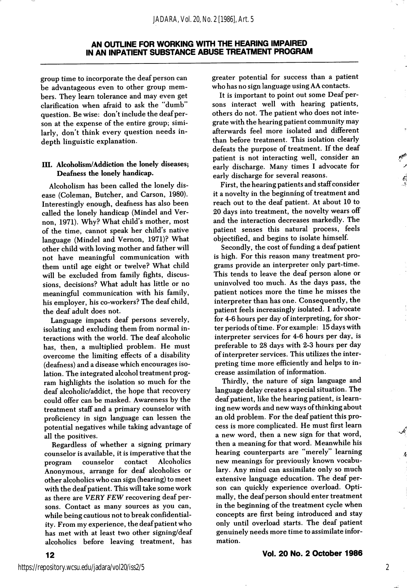group time to incorporate the deaf person can be advantageous even to other group mem bers. They learn tolerance and may even get clarification when afraid to ask the "dumb" question. Be wise: don't include the deaf person at the expense of the entire group; simi larly, don't think every question needs indepth linguistic explanation.

#### III. Alcoholism/Addiction the lonely diseases; Deafness the lonely handicap.

Alcoholism has been called the lonely dis ease (Coleman, Butcher, and Carson, 1980). Interestingly enough, deafness has also been called the lonely handicap (Mindel and Vernon, 1971). Why? What child's mother, most of the time, cannot speak her child's native language (Mindel and Vernon, 1971)? What other child with loving mother and father will not have meaningful communication with them until age eight or twelve? What child will be excluded from family fights, discus sions, decisions? What adult has little or no meaningful communication with his family, his employer, his co-workers? The deaf child, the deaf adult does not.

Language impacts deaf persons severely, isolating and excluding them from normal in teractions with the world. The deaf alcoholic has, then, a multiplied problem. He must overcome the limiting effects of a disability (deafness) and a disease which encourages iso lation. The integrated alcohol treatment prog ram highlights the isolation so much for the deaf alcoholic/addict, the hope that recovery could offer can be masked. Awareness by the treatment staff and a primary counselor with proficiency in sign language can lessen the potential negatives while taking advantage of all the positives.

Regardless of whether a signing primary counselor is available, it is imperative that the program counselor contact Alcoholics Anonymous, arrange for deaf alcoholics or other alcoholics who can sign (hearing) to meet with the deaf patient. This will take some work as there are VERY FEW recovering deaf per sons. Contact as many sources as you can, while being cautious not to break confidential ity. From my experience, the deaf patient who has met with at least two other signing/deaf alcoholics before leaving treatment, has greater potential for success than a patient who has no sign language using AA contacts.

It is important to point out some Deaf per sons interact well with hearing patients, others do not. The patient who does not inte grate with the hearing patient community may afterwards feel more isolated and different than before treatment. This isolation clearly defeats the purpose of treatment. If the deaf patient is not interacting well, consider an early discharge. Many times I advocate for early discharge for several reasons.

First, the hearing patients and staff consider it a novelty in the beginning of treatment and reach out to the deaf patient. At about 10 to 20 days into treatment, the novelty wears off and the interaction decreases markedly. The patient senses this natural process, feels objectified, and begins to isolate himself.

Secondly, the cost of funding a deaf patient is high. For this reason many treatment pro grams provide an interpreter only part-time. This tends to leave the deaf person alone or uninvolved too much. As the days pass, the patient notices more the time he misses the interpreter than has one. Consequently, the patient feels increasingly isolated. I advocate for 4-6 hours per day of interpreting, for shor ter periods of time. For example: 15 days with interpreter services for 4-6 hours per day, is preferable to 28 days with 2-3 hours per day of interpreter services. This utilizes the inter preting time more efficiently and helps to in crease assimilation of information.

Thirdly, the nature of sign language and language delay creates a special situation. The deaf patient, like the hearing patient, is learn ing new words and new ways of thinking about an old problem. For the deaf patient this pro cess is more complicated. He must first learn a new word, then a new sign for that word, then a meaning for that word. Meanwhile his hearing counterparts are "merely" learning new meanings for previously known vocabu lary. Any mind can assimilate only so much extensive language education. The deaf per son can quickly experience overload. Opti mally, the deaf person should enter treatment in the beginning of the treatment cycle when concepts are first being introduced and stay only until overload starts. The deaf patient genuinely needs more time to assimilate infor mation.

Vol. 20 No. 2 October 1986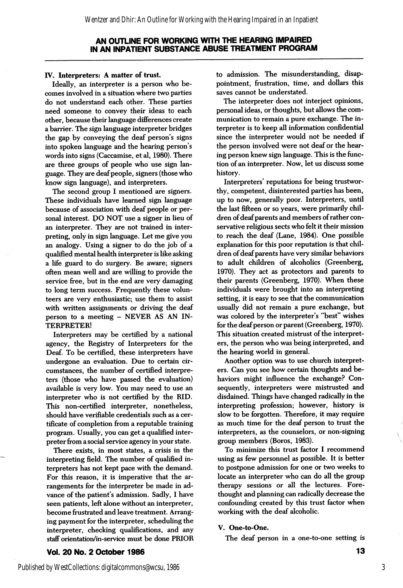#### IV. Interpreters: A matter of trust.

Ideally, an interpreter is a person who be comes involved in a situation where two parties do not understand each other. These parties need someone to convey their ideas to each other, because their language differences create a barrier. The sign language interpreter bridges the gap by conveying the deaf person's signs into spoken language and the hearing person's words into signs (Caccamise, et al, 1980). There are three groups of people who use sign lan guage. They are deaf people, signers (those who know sign language), and interpreters.

The second group I mentioned are signers. These individuals have learned sign language because of association with deaf people or per sonal interest. DO NOT use a signer in lieu of an interpreter. They are not trained in inter preting, only in sign language. Let me give you an analogy. Using a signer to do the job of a qualified mental health interpreter is like asking a life guard to do surgery. Be aware; signers often mean well and are willing to provide the service free, but in the end are very damaging to long term success. Frequently these volun teers are very enthusiastic; use them to assist with written assignments or driving the deaf person to a meeting - NEVER AS AN IN TERPRETER!

Interpreters may be certified by a national agency, the Registry of Interpreters for the Deaf. To be certified, these interpreters have undergone an evaluation. Due to certain cir cumstances, the number of certified interpre ters (those who have passed the evaluation) available is very low. You may need to use an interpreter who is not certified by the RID. This non-certified interpreter, nonetheless, should have verifiable credentials such as a cer tificate of completion from a reputable training program. Usually, you can get a qualified inter preter from a social service agency in your state.

There exists, in most states, a crisis in the interpreting field. The number of qualified in terpreters has not kept pace with the demand. For this reason, it is imperative that the ar rangements for the interpreter be made in ad vance of the patient's admission. Sadly, I have seen patients, lefl alone without an interpreter, become frustrated and leave treatment. Arrang ing payment for the interpreter, scheduling the interpreter, checking qualifications, and any staff orientation/in-service must be done PRIOR to admission. The misunderstanding, disap pointment, frustration, time, and dollars this saves cannot be understated.

The interpreter does not interject opinions, personal ideas, or thoughts, but allows the com munication to remain a pure exchange. The in terpreter is to keep all information confidential since the interpreter would not be needed if the person involved were not deaf or the hear ing person knew sign language. This is the func tion of an interpreter. Now, let us discuss some history.

Interpreters' reputations for being trustwor thy, competent, disinterested parties has been, up to now, generally poor. Interpreters, until the last fifteen or so years, were primarily chil dren of deaf parents and members of rather con servative religious sects who felt it their mission to reach the deaf (Lane, 1984). One possible explanation for this poor reputation is that chil dren of deaf parents have very similar behaviors to adult children of alcoholics (Greenberg, 1970). They act as protectors and parents to their parents (Greenberg, 1970). When these individuals were brought into an interpreting setting, it is easy to see that the communication usually did not remain a pure exchange, but was colored by the interpreter's "best" wishes for the deaf person or parent (Greenberg, 1970). This situation created mistrust of the interpret ers, the person who was being interpreted, and the hearing world in general.

Another option was to use church interpret ers. Gan you see how certain thoughts and be haviors might influence the exchange? Con sequently, interpreters were mistrusted and disdained. Things have changed radically in the interpreting profession; however, history is slow to be forgotten. Therefore, it may require as much time for the deaf person to trust the interpreters, as the counselors, or non-signing group members (Boros, 1983).

To minimize this trust factor I recommend using as few personnel as possible. It is better to postpone admission for one or two weeks to locate an interpreter who can do all the group therapy sessions or all the lectures. Fore thought and planning can radically decrease the confounding created by this trust factor when working with the deaf alcoholic.

#### V. One-to-One.

The deaf person in a one-to-one setting is

## Vol. 20 No. 2 October 1986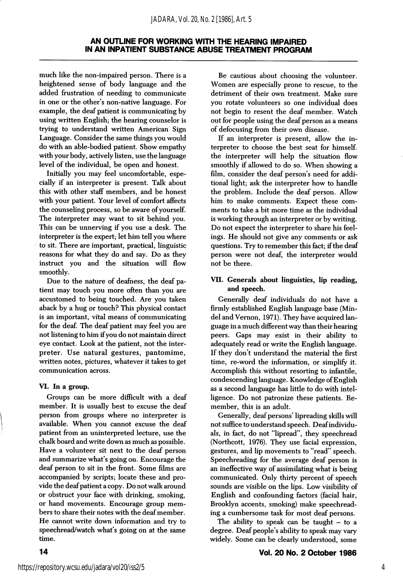much like the non-impaired person. There is a heightened sense of body language and the added frustration of needing to communicate in one or the other's non-native language. For example, the deaf patient is communicating by using written English; the hearing counselor is trying to understand written American Sign Language. Consider the same things you would do with an able-bodied patient. Show empathy with your body, actively listen, use the language level of the individual, be open and honest.

Initially you may feel uncomfortable, espe cially if an interpreter is present. Talk about this with other staff members, and be honest with your patient. Your level of comfort affects the counseling process, so be aware of yourself. The interpreter may want to sit behind you. This can be unnerving if you use a desk. The interpreter is the expert; let him tell you where to sit. There are important, practical, linguistic reasons for what they do and say. Do as they instruct you and the situation will flow smoothly.

Due to the nature of deafness, the deaf pa tient may touch you more often than you are accustomed to being touched. Are you taken aback by a hug or touch? This physical contact is an important, vital means of communicating for the deaf. The deaf patient may feel you are not listening to him if you do not maintain direct eye contact. Look at the patient, not the inter preter. Use natural gestures, pantomime, written notes, pictures, whatever it takes to get communication across.

#### VI. In a group.

Groups can be more difficult with a deaf member. It is usually best to excuse the deaf person from groups where no interpreter is available. When you cannot excuse the deaf patient from an uninterpreted lecture, use the chalk board and write down as much as possible. Have a volunteer sit next to the deaf person and summarize what's going on. Encourage the deaf person to sit in the front. Some films are accompanied by scripts; locate these and pro vide the deaf patient a copy. Do not walk around or obstruct your face with drinking, smoking, or hand movements. Encourage group mem bers to share their notes with the deaf member. He cannot write down information and try to speechread/watch what's going on at the same time.

Be cautious about choosing the volunteer. Women are especially prone to rescue, to the detriment of their own treatment. Make sure you rotate volunteers so one individual does not begin to resent the deaf member. Watch out for people using the deaf person as a means of defocusing from their own disease.

If an interpreter is present, allow the in terpreter to choose the best seat for himself, the interpreter will help the situation flow smoothly if allowed to do so. When showing a film, consider the deaf person's need for addi tional light; ask the interpreter how to handle the problem. Include the deaf person. Allow him to make comments. Expect these com ments to take a bit more time as the individual is working through an interpreter or by writing. Do not expect the interpreter to share his feel ings. He should not give any comments or ask questions. Try to remember this fact; if the deaf person were not deaf, the interpreter would not be there.

# VII. Generals about linguistics, lip reading, and speech.

Generally deaf individuals do not have a firmly established English language base (Mindel and Vernon, 1971). They have acquired lan guage in a much different way than their hearing peers. Gaps may exist in their ability to adequately read or write the English language. If they don't understand the material the first time, re-word the information, or simplify it. Accomplish this without resorting to infantile, condescending language. Knowledge of English as a second language has little to do with intel ligence. Do not patronize these patients. Re member, this is an adult.

Generally, deaf persons' lipreading skills will not suffice to understand speech. Deaf individu als, in fact, do not "lipread", they speechread (Northcott, 1976). They use facial expression, gestures, and lip movements to "read" speech. Speechreading for the average deaf person is an ineffective way of assimilating what is being communicated. Only thirty percent of speech sounds are visible on the lips. Low visibility of English and confounding factors (facial hair, Brooklyn accents, smoking) make speechread ing a cumbersome task for most deaf persons.

The ability to speak can be taught  $-$  to a degree. Deaf people's ability to speak may vary widely. Some can be clearly understood, some

## Vol. 20 No. 2 October 1986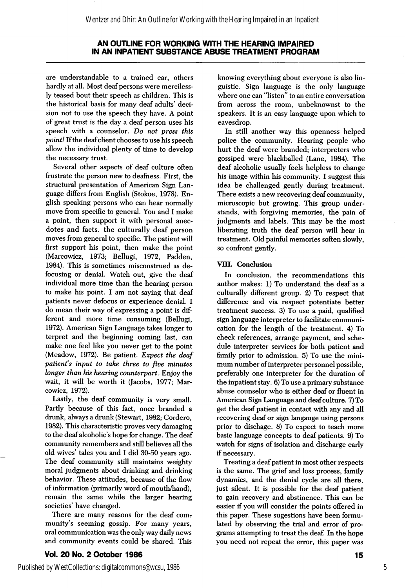are understandable to a trained ear, others hardly at all. Most deaf persons were merciless ly teased bout their speech as children. This is the historical basis for many deaf adults' deci sion not to use the speech they have. A point of great trust is the day a deaf person uses his speech with a counselor. Do not press this point! If the deaf client chooses to use his speech allow the individual plenty of time to develop the necessary trust.

Several other aspects of deaf culture often frustrate the person new to deafness. First, the structural presentation of American Sign Lan guage differs from English (Stokoe, 1978). En glish speaking persons who can hear normally move from specific to general. You and I make a point, then support it with personal anec dotes and facts, the culturally deaf person moves from general to specific. The patient will first support his point, then make the point (Marcowicz, 1973; Bellugi, 1972, Padden, 1984). This is sometimes misconstrued as defocusing or denial. Watch out, give the deaf individual more time than the hearing person to make his point. 1 am not saying that deaf patients never defocus or experience denial. 1 do mean their way of expressing a point is dif ferent and more time consuming (Bellugi, 1972). American Sign Language takes longer to terpret and the beginning coming last, can make one feel like you never get to the point (Meadow, 1972). Be patient. Expect the deaf patient's input to take three to five minutes longer than his hearing counterpart. Enjoy the wait, it will be worth it (Jacobs, 1977; Mar cowicz, 1972).

Lastly, the deaf community is very small. Partly because of this fact, once branded a drunk, always a drunk (Stewart, 1982; Cordero, 1982). This characteristic proves very damaging to the deaf alcoholic's hope for change. The deaf community remembers and still believes all the old wives' tales you and 1 did 30-50 years ago. The deaf community still maintains weighty moral judgments about drinking and drinking behavior. These attitudes, because of the flow of information (primarily word of mouth/hand), remain the same while the larger hearing societies' have changed.

There are many reasons for the deaf community's seeming gossip. For many years, oral communication was the only way daily news and community events could be shared. This

# Vol. 20 No. 2 October 1986

knowing everything about everyone is also lin guistic. Sign language is the only language where one can "listen" to an entire conversation from across the room, unbeknownst to the speakers. It is an easy language upon which to eavesdrop.

In still another way this openness helped police the community. Hearing people who hurt the deaf were branded; interpreters who gossiped were blackballed (Lane, 1984). The deaf alcoholic usually feels helpless to change his image within his community. 1 suggest this idea be challenged gently during treatment. There exists a new recovering deaf community, microscopic but growing. This group under stands, with forgiving memories, the pain of judgments and labels. This may be the most liberating truth the deaf person will hear in treatment. Old painful memories soften slowly, so confront gently.

#### VIII. Conclusion

In conclusion, the recommendations this author makes: 1) To understand the deaf as a culturally different group. 2) To respect that difference and via respect potentiate better treatment success. 3) To use a paid, qualified sign language interpreter to facilitate communi cation for the length of the treatment. 4) To check references, arrange payment, and sche dule interpreter services for both patient and family prior to admission. 5) To use the mini mum number of interpreter personnel possible, preferably one interpreter for the duration of the inpatient stay. 6) To use a primary substance abuse counselor who is either deaf or fluent in American Sign Language and deaf culture. 7) To get the deaf patient in contact with any and all recovering deaf or sign langauge using persons prior to dischage. 8) To expect to teach more basic language concepts to deaf patients. 9) To watch for signs of isolation and discharge early if necessary.

Treating a deaf patient in most other respects is the same. The grief and loss process, family dynamics, and the denial cycle are all there, just silent. It is possible for the deaf patient to gain recovery and abstinence. This can be easier if you will consider the points offered in this paper. These sugestions have been formu lated by observing the trial and error of pro grams attempting to treat the deaf. In the hope you need not repeat the error, this paper was